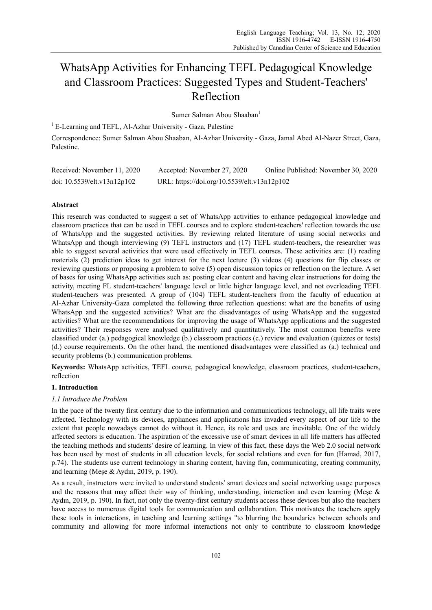# WhatsApp Activities for Enhancing TEFL Pedagogical Knowledge and Classroom Practices: Suggested Types and Student-Teachers' Reflection

Sumer Salman Abou Shaaban<sup>1</sup>

 $1$  E-Learning and TEFL, Al-Azhar University - Gaza, Palestine

Correspondence: Sumer Salman Abou Shaaban, Al-Azhar University - Gaza, Jamal Abed Al-Nazer Street, Gaza, Palestine.

| Received: November 11, 2020 | Accepted: November 27, 2020                 | Online Published: November 30, 2020 |
|-----------------------------|---------------------------------------------|-------------------------------------|
| doi: 10.5539/elt.v13n12p102 | URL: https://doi.org/10.5539/elt.v13n12p102 |                                     |

# **Abstract**

This research was conducted to suggest a set of WhatsApp activities to enhance pedagogical knowledge and classroom practices that can be used in TEFL courses and to explore student-teachers' reflection towards the use of WhatsApp and the suggested activities. By reviewing related literature of using social networks and WhatsApp and though interviewing (9) TEFL instructors and (17) TEFL student-teachers, the researcher was able to suggest several activities that were used effectively in TEFL courses. These activities are: (1) reading materials (2) prediction ideas to get interest for the next lecture (3) videos (4) questions for flip classes or reviewing questions or proposing a problem to solve (5) open discussion topics or reflection on the lecture. A set of bases for using WhatsApp activities such as: posting clear content and having clear instructions for doing the activity, meeting FL student-teachers' language level or little higher language level, and not overloading TEFL student-teachers was presented. A group of (104) TEFL student-teachers from the faculty of education at Al-Azhar University-Gaza completed the following three reflection questions: what are the benefits of using WhatsApp and the suggested activities? What are the disadvantages of using WhatsApp and the suggested activities? What are the recommendations for improving the usage of WhatsApp applications and the suggested activities? Their responses were analysed qualitatively and quantitatively. The most common benefits were classified under (a.) pedagogical knowledge (b.) classroom practices (c.) review and evaluation (quizzes or tests) (d.) course requirements. On the other hand, the mentioned disadvantages were classified as (a.) technical and security problems (b.) communication problems.

**Keywords:** WhatsApp activities, TEFL course, pedagogical knowledge, classroom practices, student-teachers, reflection

## **1. Introduction**

## *1.1 Introduce the Problem*

In the pace of the twenty first century due to the information and communications technology, all life traits were affected. Technology with its devices, appliances and applications has invaded every aspect of our life to the extent that people nowadays cannot do without it. Hence, its role and uses are inevitable. One of the widely affected sectors is education. The aspiration of the excessive use of smart devices in all life matters has affected the teaching methods and students' desire of learning. In view of this fact, these days the Web 2.0 social network has been used by most of students in all education levels, for social relations and even for fun (Hamad, 2017, p.74). The students use current technology in sharing content, having fun, communicating, creating community, and learning (Meşe & Aydın, 2019, p. 190).

As a result, instructors were invited to understand students' smart devices and social networking usage purposes and the reasons that may affect their way of thinking, understanding, interaction and even learning (Meşe & Aydın, 2019, p. 190). In fact, not only the twenty-first century students access these devices but also the teachers have access to numerous digital tools for communication and collaboration. This motivates the teachers apply these tools in interactions, in teaching and learning settings "to blurring the boundaries between schools and community and allowing for more informal interactions not only to contribute to classroom knowledge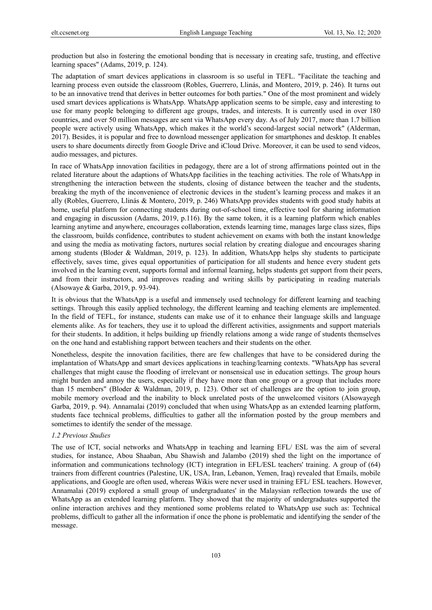production but also in fostering the emotional bonding that is necessary in creating safe, trusting, and effective learning spaces" (Adams, 2019, p. 124).

The adaptation of smart devices applications in classroom is so useful in TEFL. "Facilitate the teaching and learning process even outside the classroom (Robles, Guerrero, Llinás, and Montero, 2019, p. 246). It turns out to be an innovative trend that derives in better outcomes for both parties." One of the most prominent and widely used smart devices applications is WhatsApp. WhatsApp application seems to be simple, easy and interesting to use for many people belonging to different age groups, trades, and interests. It is currently used in over 180 countries, and over 50 million messages are sent via WhatsApp every day. As of July 2017, more than 1.7 billion people were actively using WhatsApp, which makes it the world's second-largest social network" (Alderman, 2017). Besides, it is popular and free to download messenger application for smartphones and desktop. It enables users to share documents directly from Google Drive and iCloud Drive. Moreover, it can be used to send videos, audio messages, and pictures.

In race of WhatsApp innovation facilities in pedagogy, there are a lot of strong affirmations pointed out in the related literature about the adaptions of WhatsApp facilities in the teaching activities. The role of WhatsApp in strengthening the interaction between the students, closing of distance between the teacher and the students, breaking the myth of the inconvenience of electronic devices in the student's learning process and makes it an ally (Robles, Guerrero, Llinás & Montero, 2019, p. 246) WhatsApp provides students with good study habits at home, useful platform for connecting students during out-of-school time, effective tool for sharing information and engaging in discussion (Adams, 2019, p.116). By the same token, it is a learning platform which enables learning anytime and anywhere, encourages collaboration, extends learning time, manages large class sizes, flips the classroom, builds confidence, contributes to student achievement on exams with both the instant knowledge and using the media as motivating factors, nurtures social relation by creating dialogue and encourages sharing among students (Bloder & Waldman, 2019, p. 123). In addition, WhatsApp helps shy students to participate effectively, saves time, gives equal opportunities of participation for all students and hence every student gets involved in the learning event, supports formal and informal learning, helps students get support from their peers, and from their instructors, and improves reading and writing skills by participating in reading materials (Alsowaye & Garba, 2019, p. 93-94).

It is obvious that the WhatsApp is a useful and immensely used technology for different learning and teaching settings. Through this easily applied technology, the different learning and teaching elements are implemented. In the field of TEFL, for instance, students can make use of it to enhance their language skills and language elements alike. As for teachers, they use it to upload the different activities, assignments and support materials for their students. In addition, it helps building up friendly relations among a wide range of students themselves on the one hand and establishing rapport between teachers and their students on the other.

Nonetheless, despite the innovation facilities, there are few challenges that have to be considered during the implantation of WhatsApp and smart devices applications in teaching/learning contexts. "WhatsApp has several challenges that might cause the flooding of irrelevant or nonsensical use in education settings. The group hours might burden and annoy the users, especially if they have more than one group or a group that includes more than 15 members" (Bloder & Waldman, 2019, p. 123). Other set of challenges are the option to join group, mobile memory overload and the inability to block unrelated posts of the unwelcomed visitors (Alsowayegh Garba, 2019, p. 94). Annamalai (2019) concluded that when using WhatsApp as an extended learning platform, students face technical problems, difficulties to gather all the information posted by the group members and sometimes to identify the sender of the message.

#### *1.2 Previous Studies*

The use of ICT, social networks and WhatsApp in teaching and learning EFL/ ESL was the aim of several studies, for instance, Abou Shaaban, Abu Shawish and Jalambo (2019) shed the light on the importance of information and communications technology (ICT) integration in EFL/ESL teachers' training. A group of (64) trainers from different countries (Palestine, UK, USA, Iran, Lebanon, Yemen, Iraq) revealed that Emails, mobile applications, and Google are often used, whereas Wikis were never used in training EFL/ ESL teachers. However, Annamalai (2019) explored a small group of undergraduates' in the Malaysian reflection towards the use of WhatsApp as an extended learning platform. They showed that the majority of undergraduates supported the online interaction archives and they mentioned some problems related to WhatsApp use such as: Technical problems, difficult to gather all the information if once the phone is problematic and identifying the sender of the message.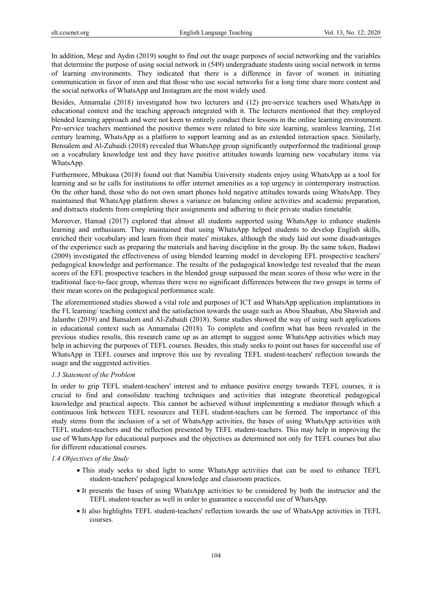In addition, Meşe and Aydın (2019) sought to find out the usage purposes of social networking and the variables that determine the purpose of using social network in (549) undergraduate students using social network in terms of learning environments. They indicated that there is a difference in favor of women in initiating communication in favor of men and that those who use social networks for a long time share more content and the social networks of WhatsApp and Instagram are the most widely used.

Besides, Annamalai (2018) investigated how two lecturers and (12) pre-service teachers used WhatsApp in educational context and the teaching approach integrated with it. The lecturers mentioned that they employed blended learning approach and were not keen to entirely conduct their lessons in the online learning environment. Pre-service teachers mentioned the positive themes were related to bite size learning, seamless learning, 21st century learning, WhatsApp as a platform to support learning and as an extended interaction space. Similarly, Bensalem and Al-Zubaidi (2018) revealed that WhatsApp group significantly outperformed the traditional group on a vocabulary knowledge test and they have positive attitudes towards learning new vocabulary items via WhatsApp.

Furthermore, Mbukusa (2018) found out that Namibia University students enjoy using WhatsApp as a tool for learning and so he calls for institutions to offer internet amenities as a top urgency in contemporary instruction. On the other hand, those who do not own smart phones hold negative attitudes towards using WhatsApp. They maintained that WhatsApp platform shows a variance on balancing online activities and academic preparation, and distracts students from completing their assignments and adhering to their private studies timetable.

Moreover, Hamad (2017) explored that almost all students supported using WhatsApp to enhance students learning and enthusiasm. They maintained that using WhatsApp helped students to develop English skills, enriched their vocabulary and learn from their mates' mistakes, although the study laid out some disadvantages of the experience such as preparing the materials and having discipline in the group. By the same token, Badawi (2009) investigated the effectiveness of using blended learning model in developing EFL prospective teachers' pedagogical knowledge and performance. The results of the pedagogical knowledge test revealed that the mean scores of the EFL prospective teachers in the blended group surpassed the mean scores of those who were in the traditional face-to-face group, whereas there were no significant differences between the two groups in terms of their mean scores on the pedagogical performance scale.

The aforementioned studies showed a vital role and purposes of ICT and WhatsApp application implantations in the FL learning/ teaching context and the satisfaction towards the usage such as Abou Shaaban, Abu Shawish and Jalambo (2019) and Bansalem and Al-Zubaidi (2018). Some studies showed the way of using such applications in educational context such as Annamalai (2018). To complete and confirm what has been revealed in the previous studies results, this research came up as an attempt to suggest some WhatsApp activities which may help in achieving the purposes of TEFL courses. Besides, this study seeks to point out bases for successful use of WhatsApp in TEFL courses and improve this use by revealing TEFL student-teachers' reflection towards the usage and the suggested activities.

#### *1.3 Statement of the Problem*

In order to grip TEFL student-teachers' interest and to enhance positive energy towards TEFL courses, it is crucial to find and consolidate teaching techniques and activities that integrate theoretical pedagogical knowledge and practical aspects. This cannot be achieved without implementing a mediator through which a continuous link between TEFL resources and TEFL student-teachers can be formed. The importance of this study stems from the inclusion of a set of WhatsApp activities, the bases of using WhatsApp activities with TEFL student-teachers and the reflection presented by TEFL student-teachers. This may help in improving the use of WhatsApp for educational purposes and the objectives as determined not only for TEFL courses but also for different educational courses.

#### *1.4 Objectives of the Study*

- This study seeks to shed light to some WhatsApp activities that can be used to enhance TEFL student-teachers' pedagogical knowledge and classroom practices.
- It presents the bases of using WhatsApp activities to be considered by both the instructor and the TEFL student-teacher as well in order to guarantee a successful use of WhatsApp.
- It also highlights TEFL student-teachers' reflection towards the use of WhatsApp activities in TEFL courses.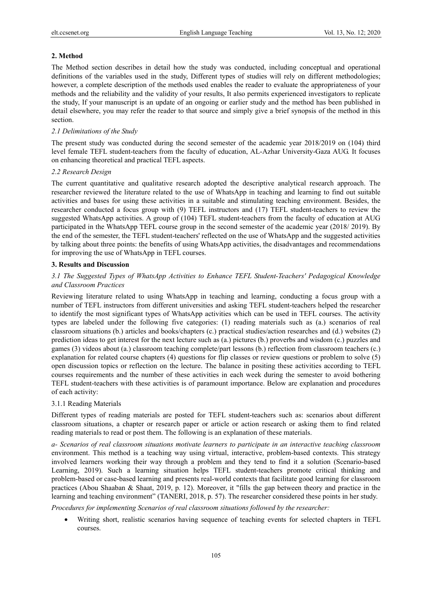#### **2. Method**

The Method section describes in detail how the study was conducted, including conceptual and operational definitions of the variables used in the study, Different types of studies will rely on different methodologies; however, a complete description of the methods used enables the reader to evaluate the appropriateness of your methods and the reliability and the validity of your results, It also permits experienced investigators to replicate the study, If your manuscript is an update of an ongoing or earlier study and the method has been published in detail elsewhere, you may refer the reader to that source and simply give a brief synopsis of the method in this section.

#### *2.1 Delimitations of the Study*

The present study was conducted during the second semester of the academic year 2018/2019 on (104) third level female TEFL student-teachers from the faculty of education, AL-Azhar University-Gaza AUG. It focuses on enhancing theoretical and practical TEFL aspects.

## *2.2 Research Design*

The current quantitative and qualitative research adopted the descriptive analytical research approach. The researcher reviewed the literature related to the use of WhatsApp in teaching and learning to find out suitable activities and bases for using these activities in a suitable and stimulating teaching environment. Besides, the researcher conducted a focus group with (9) TEFL instructors and (17) TEFL student-teachers to review the suggested WhatsApp activities. A group of (104) TEFL student-teachers from the faculty of education at AUG participated in the WhatsApp TEFL course group in the second semester of the academic year (2018/ 2019). By the end of the semester, the TEFL student-teachers' reflected on the use of WhatsApp and the suggested activities by talking about three points: the benefits of using WhatsApp activities, the disadvantages and recommendations for improving the use of WhatsApp in TEFL courses.

### **3. Results and Discussion**

# *3.1 The Suggested Types of WhatsApp Activities to Enhance TEFL Student-Teachers' Pedagogical Knowledge and Classroom Practices*

Reviewing literature related to using WhatsApp in teaching and learning, conducting a focus group with a number of TEFL instructors from different universities and asking TEFL student-teachers helped the researcher to identify the most significant types of WhatsApp activities which can be used in TEFL courses. The activity types are labeled under the following five categories: (1) reading materials such as (a.) scenarios of real classroom situations (b.) articles and books/chapters (c.) practical studies/action researches and (d.) websites (2) prediction ideas to get interest for the next lecture such as (a.) pictures (b.) proverbs and wisdom (c.) puzzles and games (3) videos about (a.) classroom teaching complete/part lessons (b.) reflection from classroom teachers (c.) explanation for related course chapters (4) questions for flip classes or review questions or problem to solve (5) open discussion topics or reflection on the lecture. The balance in positing these activities according to TEFL courses requirements and the number of these activities in each week during the semester to avoid bothering TEFL student-teachers with these activities is of paramount importance. Below are explanation and procedures of each activity:

#### 3.1.1 Reading Materials

Different types of reading materials are posted for TEFL student-teachers such as: scenarios about different classroom situations, a chapter or research paper or article or action research or asking them to find related reading materials to read or post them. The following is an explanation of these materials.

*a- Scenarios of real classroom situations motivate learners to participate in an interactive teaching classroom* environment. This method is a teaching way using virtual, interactive, problem-based contexts. This strategy involved learners working their way through a problem and they tend to find it a solution (Scenario-based Learning, 2019). Such a learning situation helps TEFL student-teachers promote critical thinking and problem-based or case-based learning and presents real-world contexts that facilitate good learning for classroom practices (Abou Shaaban & Shaat, 2019, p. 12). Moreover, it "fills the gap between theory and practice in the learning and teaching environment" (TANERI, 2018, p. 57). The researcher considered these points in her study.

*Procedures for implementing Scenarios of real classroom situations followed by the researcher:* 

• Writing short, realistic scenarios having sequence of teaching events for selected chapters in TEFL courses.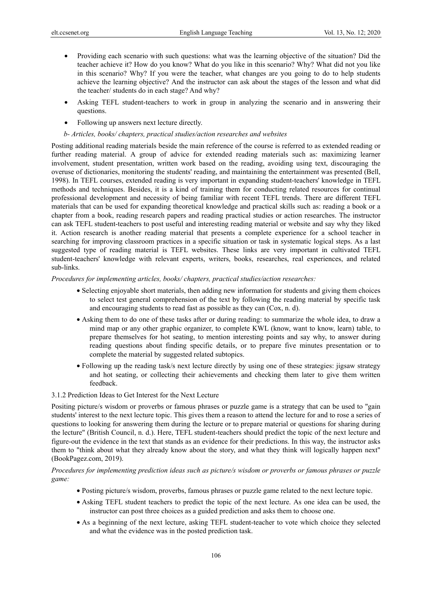- Providing each scenario with such questions: what was the learning objective of the situation? Did the teacher achieve it? How do you know? What do you like in this scenario? Why? What did not you like in this scenario? Why? If you were the teacher, what changes are you going to do to help students achieve the learning objective? And the instructor can ask about the stages of the lesson and what did the teacher/ students do in each stage? And why?
- Asking TEFL student-teachers to work in group in analyzing the scenario and in answering their questions.
- Following up answers next lecture directly.
- *b- Articles, books/ chapters, practical studies/action researches and websites*

Posting additional reading materials beside the main reference of the course is referred to as extended reading or further reading material. A group of advice for extended reading materials such as: maximizing learner involvement, student presentation, written work based on the reading, avoiding using text, discouraging the overuse of dictionaries, monitoring the students' reading, and maintaining the entertainment was presented (Bell, 1998). In TEFL courses, extended reading is very important in expanding student-teachers' knowledge in TEFL methods and techniques. Besides, it is a kind of training them for conducting related resources for continual professional development and necessity of being familiar with recent TEFL trends. There are different TEFL materials that can be used for expanding theoretical knowledge and practical skills such as: reading a book or a chapter from a book, reading research papers and reading practical studies or action researches. The instructor can ask TEFL student-teachers to post useful and interesting reading material or website and say why they liked it. Action research is another reading material that presents a complete experience for a school teacher in searching for improving classroom practices in a specific situation or task in systematic logical steps. As a last suggested type of reading material is TEFL websites. These links are very important in cultivated TEFL student-teachers' knowledge with relevant experts, writers, books, researches, real experiences, and related sub-links.

*Procedures for implementing articles, books/ chapters, practical studies/action researches:*

- Selecting enjoyable short materials, then adding new information for students and giving them choices to select test general comprehension of the text by following the reading material by specific task and encouraging students to read fast as possible as they can (Cox, n. d).
- Asking them to do one of these tasks after or during reading: to summarize the whole idea, to draw a mind map or any other graphic organizer, to complete KWL (know, want to know, learn) table, to prepare themselves for hot seating, to mention interesting points and say why, to answer during reading questions about finding specific details, or to prepare five minutes presentation or to complete the material by suggested related subtopics.
- Following up the reading task/s next lecture directly by using one of these strategies: jigsaw strategy and hot seating, or collecting their achievements and checking them later to give them written feedback.
- 3.1.2 Prediction Ideas to Get Interest for the Next Lecture

Positing picture/s wisdom or proverbs or famous phrases or puzzle game is a strategy that can be used to "gain students' interest to the next lecture topic. This gives them a reason to attend the lecture for and to rose a series of questions to looking for answering them during the lecture or to prepare material or questions for sharing during the lecture" (British Council, n. d.). Here, TEFL student-teachers should predict the topic of the next lecture and figure-out the evidence in the text that stands as an evidence for their predictions. In this way, the instructor asks them to "think about what they already know about the story, and what they think will logically happen next" (BookPagez.com, 2019).

*Procedures for implementing prediction ideas such as picture/s wisdom or proverbs or famous phrases or puzzle game:*

- Posting picture/s wisdom, proverbs, famous phrases or puzzle game related to the next lecture topic.
- Asking TEFL student teachers to predict the topic of the next lecture. As one idea can be used, the instructor can post three choices as a guided prediction and asks them to choose one.
- As a beginning of the next lecture, asking TEFL student-teacher to vote which choice they selected and what the evidence was in the posted prediction task.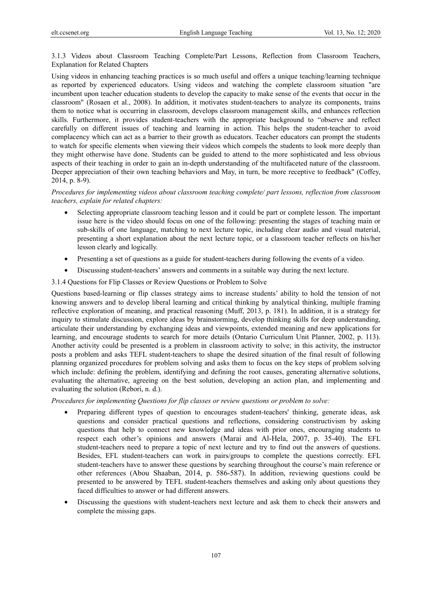3.1.3 Videos about Classroom Teaching Complete/Part Lessons, Reflection from Classroom Teachers, Explanation for Related Chapters

Using videos in enhancing teaching practices is so much useful and offers a unique teaching/learning technique as reported by experienced educators. Using videos and watching the complete classroom situation "are incumbent upon teacher education students to develop the capacity to make sense of the events that occur in the classroom" (Rosaen et al., 2008). In addition, it motivates student-teachers to analyze its components, trains them to notice what is occurring in classroom, develops classroom management skills, and enhances reflection skills. Furthermore, it provides student-teachers with the appropriate background to "observe and reflect carefully on different issues of teaching and learning in action. This helps the student-teacher to avoid complacency which can act as a barrier to their growth as educators. Teacher educators can prompt the students to watch for specific elements when viewing their videos which compels the students to look more deeply than they might otherwise have done. Students can be guided to attend to the more sophisticated and less obvious aspects of their teaching in order to gain an in-depth understanding of the multifaceted nature of the classroom. Deeper appreciation of their own teaching behaviors and May, in turn, be more receptive to feedback" (Coffey, 2014, p. 8-9).

# *Procedures for implementing videos about classroom teaching complete/ part lessons, reflection from classroom teachers, explain for related chapters:*

- Selecting appropriate classroom teaching lesson and it could be part or complete lesson. The important issue here is the video should focus on one of the following: presenting the stages of teaching main or sub-skills of one language, matching to next lecture topic, including clear audio and visual material, presenting a short explanation about the next lecture topic, or a classroom teacher reflects on his/her lesson clearly and logically.
- Presenting a set of questions as a guide for student-teachers during following the events of a video.
- Discussing student-teachers' answers and comments in a suitable way during the next lecture.

## 3.1.4 Questions for Flip Classes or Review Questions or Problem to Solve

Questions based-learning or flip classes strategy aims to increase students' ability to hold the tension of not knowing answers and to develop liberal learning and critical thinking by analytical thinking, multiple framing reflective exploration of meaning, and practical reasoning (Muff, 2013, p. 181). In addition, it is a strategy for inquiry to stimulate discussion, explore ideas by brainstorming, develop thinking skills for deep understanding, articulate their understanding by exchanging ideas and viewpoints, extended meaning and new applications for learning, and encourage students to search for more details (Ontario Curriculum Unit Planner, 2002, p. 113). Another activity could be presented is a problem in classroom activity to solve; in this activity, the instructor posts a problem and asks TEFL student-teachers to shape the desired situation of the final result of following planning organized procedures for problem solving and asks them to focus on the key steps of problem solving which include: defining the problem, identifying and defining the root causes, generating alternative solutions, evaluating the alternative, agreeing on the best solution, developing an action plan, and implementing and evaluating the solution (Rebori, n. d.).

*Procedures for implementing Questions for flip classes or review questions or problem to solve:*

- Preparing different types of question to encourages student-teachers' thinking, generate ideas, ask questions and consider practical questions and reflections, considering constructivism by asking questions that help to connect new knowledge and ideas with prior ones, encouraging students to respect each other's opinions and answers (Marai and Al-Hela, 2007, p. 35-40). The EFL student-teachers need to prepare a topic of next lecture and try to find out the answers of questions. Besides, EFL student-teachers can work in pairs/groups to complete the questions correctly. EFL student-teachers have to answer these questions by searching throughout the course's main reference or other references (Abou Shaaban, 2014, p. 586-587). In addition, reviewing questions could be presented to be answered by TEFL student-teachers themselves and asking only about questions they faced difficulties to answer or had different answers.
- Discussing the questions with student-teachers next lecture and ask them to check their answers and complete the missing gaps.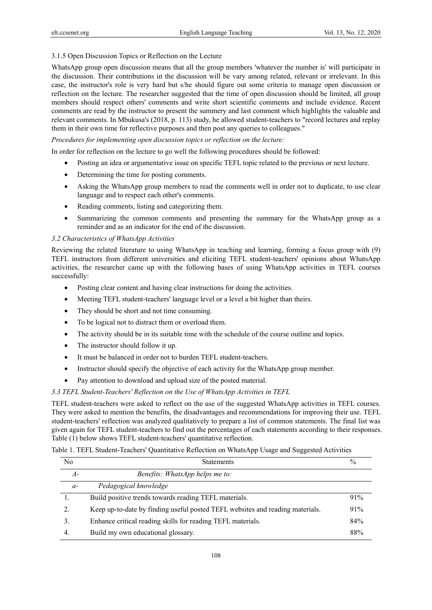## 3.1.5 Open Discussion Topics or Reflection on the Lecture

WhatsApp group open discussion means that all the group members 'whatever the number is' will participate in the discussion. Their contributions in the discussion will be vary among related, relevant or irrelevant. In this case, the instructor's role is very hard but s/he should figure out some criteria to manage open discussion or reflection on the lecture. The researcher suggested that the time of open discussion should be limited, all group members should respect others' comments and write short scientific comments and include evidence. Recent comments are read by the instructor to present the summery and last comment which highlights the valuable and relevant comments. In Mbukusa's (2018, p. 113) study, he allowed student-teachers to "record lectures and replay them in their own time for reflective purposes and then post any queries to colleagues."

*Procedures for implementing open discussion topics or reflection on the lecture:*

In order for reflection on the lecture to go well the following procedures should be followed:

- Posting an idea or argumentative issue on specific TEFL topic related to the previous or next lecture.
- Determining the time for posting comments.
- Asking the WhatsApp group members to read the comments well in order not to duplicate, to use clear language and to respect each other's comments.
- Reading comments, listing and categorizing them.
- Summarizing the common comments and presenting the summary for the WhatsApp group as a reminder and as an indicator for the end of the discussion.

## *3.2 Characteristics of WhatsApp Activities*

Reviewing the related literature to using WhatsApp in teaching and learning, forming a focus group with (9) TEFL instructors from different universities and eliciting TEFL student-teachers' opinions about WhatsApp activities, the researcher came up with the following bases of using WhatsApp activities in TEFL courses successfully:

- Posting clear content and having clear instructions for doing the activities.
- Meeting TEFL student-teachers' language level or a level a bit higher than theirs.
- They should be short and not time consuming.
- To be logical not to distract them or overload them.
- The activity should be in its suitable time with the schedule of the course outline and topics.
- The instructor should follow it up.
- It must be balanced in order not to burden TEFL student-teachers.
- Instructor should specify the objective of each activity for the WhatsApp group member.
- Pay attention to download and upload size of the posted material.

## *3.3 TEFL Student-Teachers' Reflection on the Use of WhatsApp Activities in TEFL*

TEFL student-teachers were asked to reflect on the use of the suggested WhatsApp activities in TEFL courses. They were asked to mention the benefits, the disadvantages and recommendations for improving their use. TEFL student-teachers' reflection was analyzed qualitatively to prepare a list of common statements. The final list was given again for TEFL student-teachers to find out the percentages of each statements according to their responses. Table (1) below shows TEFL student-teachers' quantitative reflection.

Table 1. TEFL Student-Teachers' Quantitative Reflection on WhatsApp Usage and Suggested Activities

| No   | <b>Statements</b>                                                             | $\frac{0}{0}$ |
|------|-------------------------------------------------------------------------------|---------------|
| A-   | <i>Benefits: WhatsApp helps me to:</i>                                        |               |
| $a-$ | Pedagogical knowledge                                                         |               |
|      | Build positive trends towards reading TEFL materials.                         | 91%           |
|      | Keep up-to-date by finding useful posted TEFL websites and reading materials. | 91%           |
| 3.   | Enhance critical reading skills for reading TEFL materials.                   | 84%           |
|      | Build my own educational glossary.                                            | 88%           |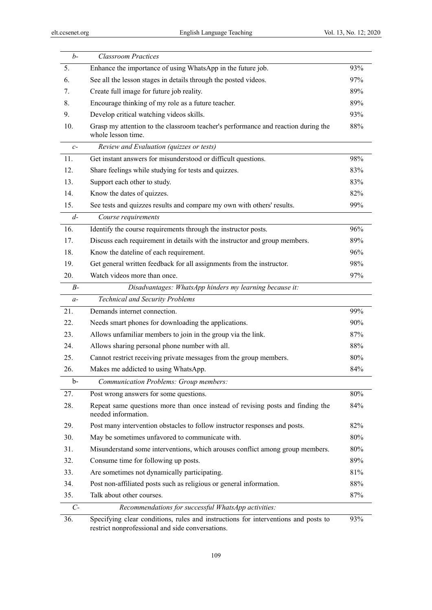| $b-$  | <b>Classroom Practices</b>                                                                                                             |     |
|-------|----------------------------------------------------------------------------------------------------------------------------------------|-----|
| 5.    | Enhance the importance of using WhatsApp in the future job.                                                                            | 93% |
| 6.    | See all the lesson stages in details through the posted videos.                                                                        | 97% |
| 7.    | Create full image for future job reality.                                                                                              | 89% |
| 8.    | Encourage thinking of my role as a future teacher.                                                                                     | 89% |
| 9.    | Develop critical watching videos skills.                                                                                               | 93% |
| 10.   | Grasp my attention to the classroom teacher's performance and reaction during the<br>whole lesson time.                                | 88% |
| $c-$  | Review and Evaluation (quizzes or tests)                                                                                               |     |
| 11.   | Get instant answers for misunderstood or difficult questions.                                                                          | 98% |
| 12.   | Share feelings while studying for tests and quizzes.                                                                                   | 83% |
| 13.   | Support each other to study.                                                                                                           | 83% |
| 14.   | Know the dates of quizzes.                                                                                                             | 82% |
| 15.   | See tests and quizzes results and compare my own with others' results.                                                                 | 99% |
| $d-$  | Course requirements                                                                                                                    |     |
| 16.   | Identify the course requirements through the instructor posts.                                                                         | 96% |
| 17.   | Discuss each requirement in details with the instructor and group members.                                                             | 89% |
| 18.   | Know the dateline of each requirement.                                                                                                 | 96% |
| 19.   | Get general written feedback for all assignments from the instructor.                                                                  | 98% |
| 20.   | Watch videos more than once.                                                                                                           | 97% |
| $B-$  | Disadvantages: WhatsApp hinders my learning because it:                                                                                |     |
| $a-$  | <b>Technical and Security Problems</b>                                                                                                 |     |
| 21.   | Demands internet connection.                                                                                                           | 99% |
| 22.   | Needs smart phones for downloading the applications.                                                                                   | 90% |
| 23.   | Allows unfamiliar members to join in the group via the link.                                                                           | 87% |
| 24.   | Allows sharing personal phone number with all.                                                                                         | 88% |
| 25.   | Cannot restrict receiving private messages from the group members.                                                                     | 80% |
| 26.   | Makes me addicted to using WhatsApp.                                                                                                   | 84% |
| b-    | Communication Problems: Group members:                                                                                                 |     |
| 27.   | Post wrong answers for some questions.                                                                                                 | 80% |
| 28.   | Repeat same questions more than once instead of revising posts and finding the<br>needed information.                                  | 84% |
| 29.   | Post many intervention obstacles to follow instructor responses and posts.                                                             | 82% |
| 30.   | May be sometimes unfavored to communicate with.                                                                                        | 80% |
| 31.   | Misunderstand some interventions, which arouses conflict among group members.                                                          | 80% |
| 32.   | Consume time for following up posts.                                                                                                   | 89% |
| 33.   | Are sometimes not dynamically participating.                                                                                           | 81% |
| 34.   | Post non-affiliated posts such as religious or general information.                                                                    | 88% |
| 35.   | Talk about other courses.                                                                                                              | 87% |
| $C -$ | Recommendations for successful WhatsApp activities:                                                                                    |     |
| 36.   | Specifying clear conditions, rules and instructions for interventions and posts to<br>restrict nonprofessional and side conversations. | 93% |

109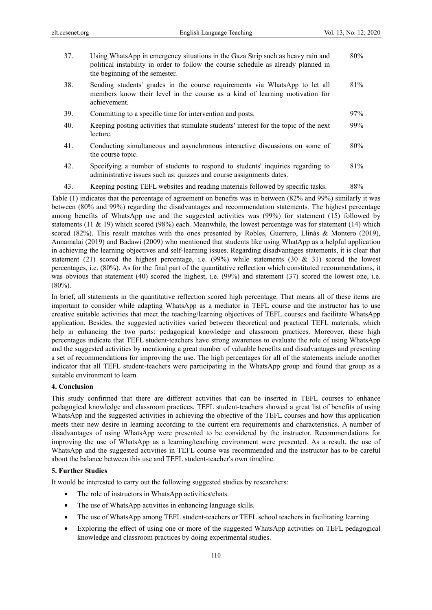| 37. | Using WhatsApp in emergency situations in the Gaza Strip such as heavy rain and<br>political instability in order to follow the course schedule as already planned in<br>the beginning of the semester. | 80%    |
|-----|---------------------------------------------------------------------------------------------------------------------------------------------------------------------------------------------------------|--------|
| 38. | Sending students' grades in the course requirements via WhatsApp to let all<br>members know their level in the course as a kind of learning motivation for<br>achievement.                              | 81%    |
| 39. | Committing to a specific time for intervention and posts.                                                                                                                                               | $97\%$ |
| 40. | Keeping posting activities that stimulate students' interest for the topic of the next<br>lecture.                                                                                                      | 99%    |
| 41. | Conducting simultaneous and asynchronous interactive discussions on some of<br>the course topic.                                                                                                        | $80\%$ |
| 42. | Specifying a number of students to respond to students' inquiries regarding to<br>administrative issues such as: quizzes and course assignments dates.                                                  | 81%    |
| 43. | Keeping posting TEFL websites and reading materials followed by specific tasks.                                                                                                                         | 88%    |

Table (1) indicates that the percentage of agreement on benefits was in between (82% and 99%) similarly it was between (80% and 99%) regarding the disadvantages and recommendation statements. The highest percentage among benefits of WhatsApp use and the suggested activities was (99%) for statement (15) followed by statements (11 & 19) which scored (98%) each. Meanwhile, the lowest percentage was for statement (14) which scored (82%). This result matches with the ones presented by Robles, Guerrero, Llinás & Montero (2019), Annamalai (2019) and Badawi (2009) who mentioned that students like using WhatApp as a helpful application in achieving the learning objectives and self-learning issues. Regarding disadvantages statements, it is clear that statement (21) scored the highest percentage, i.e. (99%) while statements (30 & 31) scored the lowest percentages, i.e. (80%). As for the final part of the quantitative reflection which constituted recommendations, it was obvious that statement (40) scored the highest, i.e. (99%) and statement (37) scored the lowest one, i.e. (80%).

In brief, all statements in the quantitative reflection scored high percentage. That means all of these items are important to consider while adapting WhatsApp as a mediator in TEFL course and the instructor has to use creative suitable activities that meet the teaching/learning objectives of TEFL courses and facilitate WhatsApp application. Besides, the suggested activities varied between theoretical and practical TEFL materials, which help in enhancing the two parts: pedagogical knowledge and classroom practices. Moreover, these high percentages indicate that TEFL student-teachers have strong awareness to evaluate the role of using WhatsApp and the suggested activities by mentioning a great number of valuable benefits and disadvantages and presenting a set of recommendations for improving the use. The high percentages for all of the statements include another indicator that all TEFL student-teachers were participating in the WhatsApp group and found that group as a suitable environment to learn.

## **4. Conclusion**

This study confirmed that there are different activities that can be inserted in TEFL courses to enhance pedagogical knowledge and classroom practices. TEFL student-teachers showed a great list of benefits of using WhatsApp and the suggested activities in achieving the objective of the TEFL courses and how this application meets their new desire in learning according to the current era requirements and characteristics. A number of disadvantages of using WhatsApp were presented to be considered by the instructor. Recommendations for improving the use of WhatsApp as a learning/teaching environment were presented. As a result, the use of WhatsApp and the suggested activities in TEFL course was recommended and the instructor has to be careful about the balance between this use and TEFL student-teacher's own timeline.

## **5. Further Studies**

It would be interested to carry out the following suggested studies by researchers:

- The role of instructors in WhatsApp activities/chats.
- The use of WhatsApp activities in enhancing language skills.
- The use of WhatsApp among TEFL student-teachers or TEFL school teachers in facilitating learning.
- Exploring the effect of using one or more of the suggested WhatsApp activities on TEFL pedagogical knowledge and classroom practices by doing experimental studies.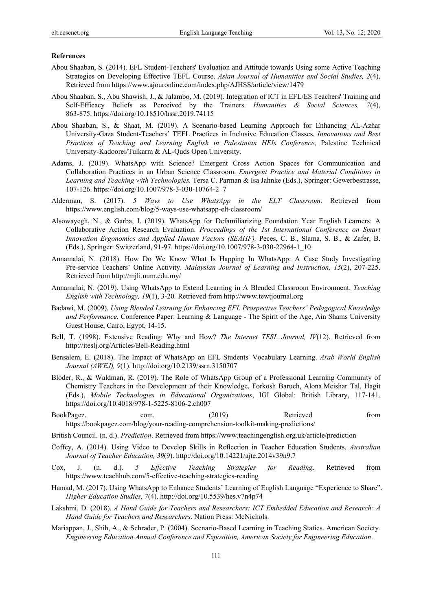#### **References**

- Abou Shaaban, S. (2014). EFL Student-Teachers' Evaluation and Attitude towards Using some Active Teaching Strategies on Developing Effective TEFL Course. *Asian Journal of Humanities and Social Studies, 2*(4). Retrieved from https://www.ajouronline.com/index.php/AJHSS/article/view/1479
- Abou Shaaban, S., Abu Shawish, J., & Jalambo, M. (2019). Integration of ICT in EFL/ES Teachers' Training and Self-Efficacy Beliefs as Perceived by the Trainers. *Humanities & Social Sciences, 7*(4), 863-875. https://doi.org/10.18510/hssr.2019.74115
- Abou Shaaban, S., & Shaat, M. (2019). A Scenario-based Learning Approach for Enhancing AL-Azhar University-Gaza Student-Teachers' TEFL Practices in Inclusive Education Classes. *Innovations and Best Practices of Teaching and Learning English in Palestinian HEIs Conference*, Palestine Technical University-Kadoorei/Tulkarm & AL-Quds Open University.
- Adams, J. (2019). WhatsApp with Science? Emergent Cross Action Spaces for Communication and Collaboration Practices in an Urban Science Classroom. *Emergent Practice and Material Conditions in Learning and Teaching with Technologies.* Tersa C. Parman & Isa Jahnke (Eds.), Springer: Gewerbestrasse, 107-126. https://doi.org/10.1007/978-3-030-10764-2\_7
- Alderman, S. (2017). *5 Ways to Use WhatsApp in the ELT Classroom*. Retrieved from https://www.english.com/blog/5-ways-use-whatsapp-elt-classroom/
- Alsowayegh, N., & Garba, I. (2019). WhatsApp for Defamiliarizing Foundation Year English Learners: A Collaborative Action Research Evaluation. *Proceedings of the 1st International Conference on Smart Innovation Ergonomics and Applied Human Factors (SEAHF),* Peces, C. B., Slama, S. B., & Zafer, B. (Eds.), Springer: Switzerland, 91-97. https://doi.org/10.1007/978-3-030-22964-1\_10
- Annamalai, N. (2018). How Do We Know What Is Happing In WhatsApp: A Case Study Investigating Pre-service Teachers' Online Activity. *Malaysian Journal of Learning and Instruction, 15*(2), 207-225. Retrieved from http://mjli.uum.edu.my/
- Annamalai, N. (2019). Using WhatsApp to Extend Learning in A Blended Classroom Environment. *Teaching English with Technology, 19*(1), 3-20*.* Retrieved from http://www.tewtjournal.org
- Badawi, M. (2009). *Using Blended Learning for Enhancing EFL Prospective Teachers' Pedagogical Knowledge and Performance*. Conference Paper: Learning & Language - The Spirit of the Age, Ain Shams University Guest House, Cairo, Egypt, 14-15.
- Bell, T. (1998). Extensive Reading: Why and How? *The Internet TESL Journal, IV*(12). Retrieved from http://iteslj.org/Articles/Bell-Reading.html
- Bensalem, E. (2018). The Impact of WhatsApp on EFL Students' Vocabulary Learning. *Arab World English Journal (AWEJ), 9*(1). http://doi.org/10.2139/ssrn.3150707
- Bloder, R., & Waldman, R. (2019). The Role of WhatsApp Group of a Professional Learning Community of Chemistry Teachers in the Development of their Knowledge. Forkosh Baruch, Alona Meishar Tal, Hagit (Eds.), *Mobile Technologies in Educational Organizations*, IGI Global: British Library, 117-141. https://doi.org/10.4018/978-1-5225-8106-2.ch007
- BookPagez. com. (2019). Retrieved from https://bookpagez.com/blog/your-reading-comprehension-toolkit-making-predictions/
- British Council. (n. d.). *Prediction*. Retrieved from https://www.teachingenglish.org.uk/article/prediction
- Coffey, A. (2014). Using Video to Develop Skills in Reflection in Teacher Education Students. *Australian Journal of Teacher Education, 39*(9). http://doi.org/10.14221/ajte.2014v39n9.7
- Cox, J. (n. d.). *5 Effective Teaching Strategies for Reading*. Retrieved from https://www.teachhub.com/5-effective-teaching-strategies-reading
- Hamad, M. (2017). Using WhatsApp to Enhance Students' Learning of English Language "Experience to Share". *Higher Education Studies, 7*(4). http://doi.org/10.5539/hes.v7n4p74
- Lakshmi, D. (2018). *A Hand Guide for Teachers and Researchers: ICT Embedded Education and Research: A Hand Guide for Teachers and Researchers*. Nation Press: McNichols.
- Mariappan, J., Shih, A., & Schrader, P. (2004). Scenario-Based Learning in Teaching Statics. American Society*. Engineering Education Annual Conference and Exposition, American Society for Engineering Education*.